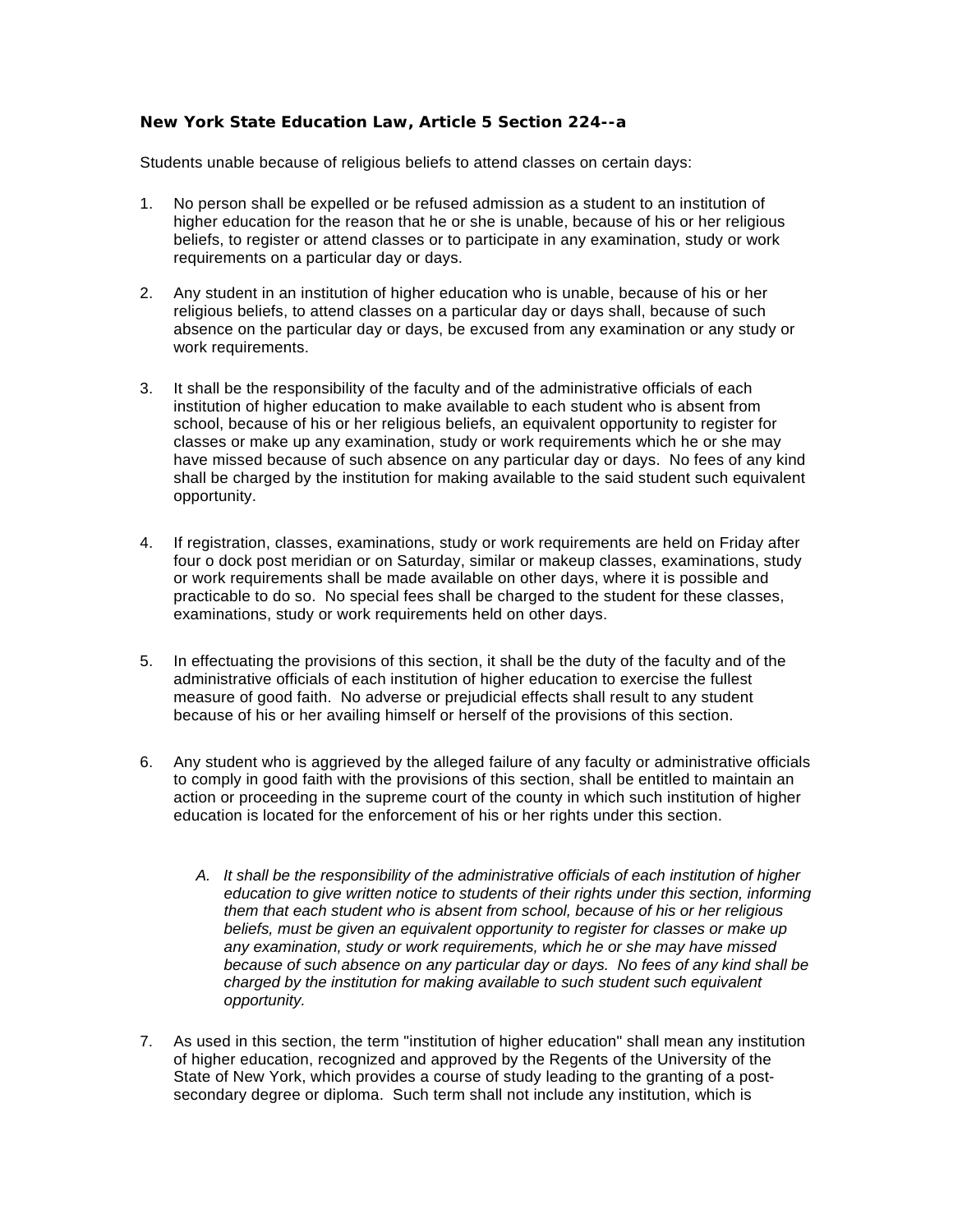## **New York State Education Law, Article 5 Section 224--a**

Students unable because of religious beliefs to attend classes on certain days:

- 1. No person shall be expelled or be refused admission as a student to an institution of higher education for the reason that he or she is unable, because of his or her religious beliefs, to register or attend classes or to participate in any examination, study or work requirements on a particular day or days.
- 2. Any student in an institution of higher education who is unable, because of his or her religious beliefs, to attend classes on a particular day or days shall, because of such absence on the particular day or days, be excused from any examination or any study or work requirements.
- 3. It shall be the responsibility of the faculty and of the administrative officials of each institution of higher education to make available to each student who is absent from school, because of his or her religious beliefs, an equivalent opportunity to register for classes or make up any examination, study or work requirements which he or she may have missed because of such absence on any particular day or days. No fees of any kind shall be charged by the institution for making available to the said student such equivalent opportunity.
- 4. If registration, classes, examinations, study or work requirements are held on Friday after four o dock post meridian or on Saturday, similar or makeup classes, examinations, study or work requirements shall be made available on other days, where it is possible and practicable to do so. No special fees shall be charged to the student for these classes, examinations, study or work requirements held on other days.
- 5. In effectuating the provisions of this section, it shall be the duty of the faculty and of the administrative officials of each institution of higher education to exercise the fullest measure of good faith. No adverse or prejudicial effects shall result to any student because of his or her availing himself or herself of the provisions of this section.
- 6. Any student who is aggrieved by the alleged failure of any faculty or administrative officials to comply in good faith with the provisions of this section, shall be entitled to maintain an action or proceeding in the supreme court of the county in which such institution of higher education is located for the enforcement of his or her rights under this section.
	- *A. It shall be the responsibility of the administrative officials of each institution of higher education to give written notice to students of their rights under this section, informing them that each student who is absent from school, because of his or her religious beliefs, must be given an equivalent opportunity to register for classes or make up any examination, study or work requirements, which he or she may have missed because of such absence on any particular day or days. No fees of any kind shall be charged by the institution for making available to such student such equivalent opportunity.*
- 7. As used in this section, the term "institution of higher education" shall mean any institution of higher education, recognized and approved by the Regents of the University of the State of New York, which provides a course of study leading to the granting of a postsecondary degree or diploma. Such term shall not include any institution, which is